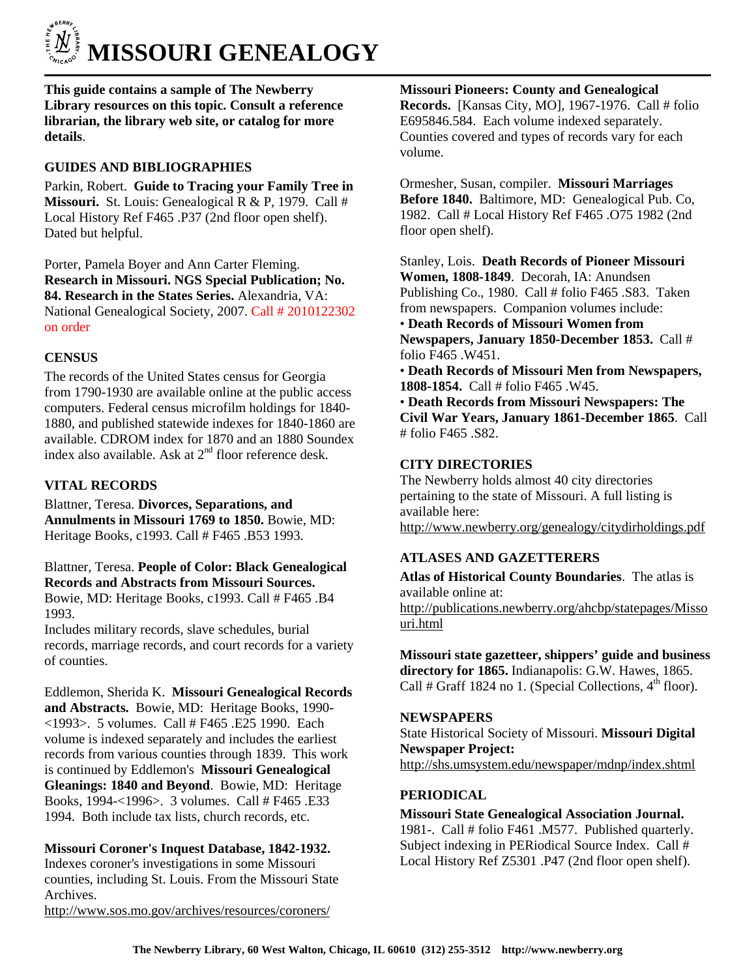

**This guide contains a sample of The Newberry Library resources on this topic. Consult a reference librarian, the library web site, or catalog for more details**.

# **GUIDES AND BIBLIOGRAPHIES**

Parkin, Robert. **Guide to Tracing your Family Tree in Missouri.** St. Louis: Genealogical R & P, 1979. Call # Local History Ref F465 .P37 (2nd floor open shelf). Dated but helpful.

Porter, Pamela Boyer and Ann Carter Fleming. **Research in Missouri. NGS Special Publication; No. 84. Research in the States Series.** Alexandria, VA: National Genealogical Society, 2007. Call # 2010122302 on order

## **CENSUS**

The records of the United States census for Georgia from 1790-1930 are available online at the public access computers. Federal census microfilm holdings for 1840- 1880, and published statewide indexes for 1840-1860 are available. CDROM index for 1870 and an 1880 Soundex index also available. Ask at  $2<sup>nd</sup>$  floor reference desk.

## **VITAL RECORDS**

Blattner, Teresa. **Divorces, Separations, and Annulments in Missouri 1769 to 1850.** Bowie, MD: Heritage Books, c1993. Call # F465 .B53 1993.

### Blattner, Teresa. **People of Color: Black Genealogical Records and Abstracts from Missouri Sources.**  Bowie, MD: Heritage Books, c1993. Call # F465 .B4

1993.

Includes military records, slave schedules, burial records, marriage records, and court records for a variety of counties.

Eddlemon, Sherida K. **Missouri Genealogical Records** 

**and Abstracts.** Bowie, MD: Heritage Books, 1990- <1993>. 5 volumes. Call # F465 .E25 1990. Each volume is indexed separately and includes the earliest records from various counties through 1839. This work is continued by Eddlemon's **Missouri Genealogical Gleanings: 1840 and Beyond**. Bowie, MD: Heritage Books, 1994-<1996>. 3 volumes. Call # F465 .E33 1994. Both include tax lists, church records, etc.

## **Missouri Coroner's Inquest Database, 1842-1932.**

Indexes coroner's investigations in some Missouri counties, including St. Louis. From the Missouri State Archives.

http://www.sos.mo.gov/archives/resources/coroners/

**Missouri Pioneers: County and Genealogical Records.** [Kansas City, MO], 1967-1976. Call # folio E695846.584. Each volume indexed separately. Counties covered and types of records vary for each volume.

Ormesher, Susan, compiler. **Missouri Marriages Before 1840.** Baltimore, MD: Genealogical Pub. Co, 1982. Call # Local History Ref F465 .O75 1982 (2nd floor open shelf).

Stanley, Lois. **Death Records of Pioneer Missouri Women, 1808-1849**. Decorah, IA: Anundsen Publishing Co., 1980. Call # folio F465 .S83. Taken from newspapers. Companion volumes include: • **Death Records of Missouri Women from Newspapers, January 1850-December 1853.** Call # folio F465 .W451.

• **Death Records of Missouri Men from Newspapers, 1808-1854.** Call # folio F465 .W45.

• **Death Records from Missouri Newspapers: The Civil War Years, January 1861-December 1865**. Call # folio F465 .S82.

### **CITY DIRECTORIES**

The Newberry holds almost 40 city directories pertaining to the state of Missouri. A full listing is available here: http://www.newberry.org/genealogy/citydirholdings.pdf

## **ATLASES AND GAZETTERERS**

**Atlas of Historical County Boundaries**. The atlas is available online at: http://publications.newberry.org/ahcbp/statepages/Misso uri.html

**Missouri state gazetteer, shippers' guide and business directory for 1865.** Indianapolis: G.W. Hawes, 1865. Call # Graff 1824 no 1. (Special Collections,  $4<sup>th</sup>$  floor).

#### **NEWSPAPERS**

State Historical Society of Missouri. **Missouri Digital Newspaper Project:**  http://shs.umsystem.edu/newspaper/mdnp/index.shtml

#### **PERIODICAL**

**Missouri State Genealogical Association Journal.** 1981-. Call # folio F461 .M577. Published quarterly. Subject indexing in PERiodical Source Index. Call # Local History Ref Z5301 .P47 (2nd floor open shelf).